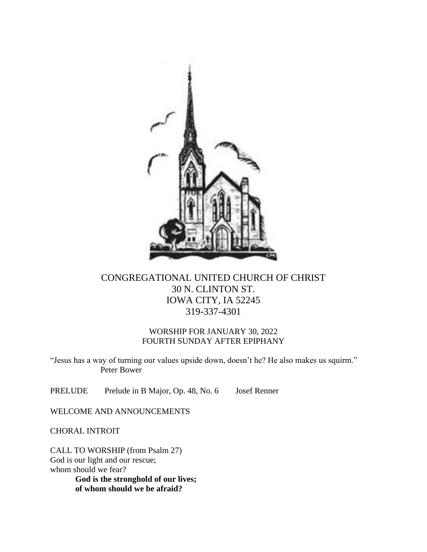

# CONGREGATIONAL UNITED CHURCH OF CHRIST 30 N. CLINTON ST. IOWA CITY, IA 52245 319-337-4301

## WORSHIP FOR JANUARY 30, 2022 FOURTH SUNDAY AFTER EPIPHANY

"Jesus has a way of turning our values upside down, doesn't he? He also makes us squirm." Peter Bower

PRELUDE Prelude in B Major, Op. 48, No. 6 Josef Renner

WELCOME AND ANNOUNCEMENTS

CHORAL INTROIT

CALL TO WORSHIP (from Psalm 27) God is our light and our rescue; whom should we fear? **God is the stronghold of our lives; of whom should we be afraid?**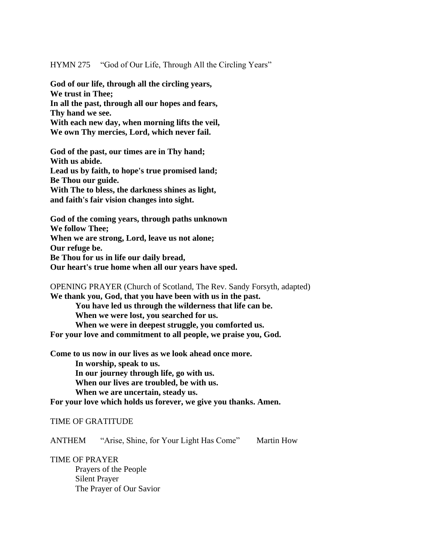HYMN 275 "God of Our Life, Through All the Circling Years"

**God of our life, through all the circling years, We trust in Thee; In all the past, through all our hopes and fears, Thy hand we see. With each new day, when morning lifts the veil, We own Thy mercies, Lord, which never fail.**

**God of the past, our times are in Thy hand; With us abide. Lead us by faith, to hope's true promised land; Be Thou our guide. With The to bless, the darkness shines as light, and faith's fair vision changes into sight.**

**God of the coming years, through paths unknown We follow Thee; When we are strong, Lord, leave us not alone; Our refuge be. Be Thou for us in life our daily bread, Our heart's true home when all our years have sped.**

OPENING PRAYER (Church of Scotland, The Rev. Sandy Forsyth, adapted) **We thank you, God, that you have been with us in the past. You have led us through the wilderness that life can be. When we were lost, you searched for us. When we were in deepest struggle, you comforted us. For your love and commitment to all people, we praise you, God.**

**Come to us now in our lives as we look ahead once more. In worship, speak to us. In our journey through life, go with us. When our lives are troubled, be with us. When we are uncertain, steady us.** 

**For your love which holds us forever, we give you thanks. Amen.**

#### TIME OF GRATITUDE

ANTHEM "Arise, Shine, for Your Light Has Come" Martin How

TIME OF PRAYER

Prayers of the People Silent Prayer The Prayer of Our Savior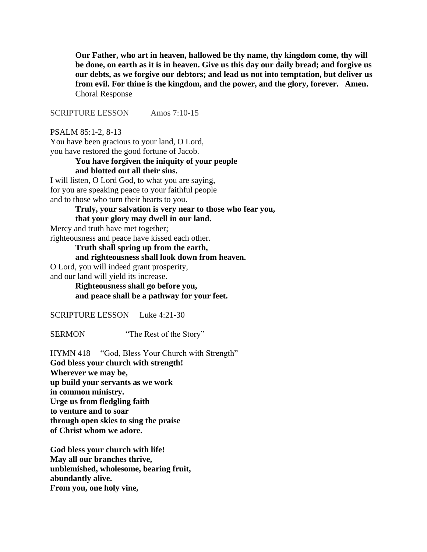**Our Father, who art in heaven, hallowed be thy name, thy kingdom come, thy will be done, on earth as it is in heaven. Give us this day our daily bread; and forgive us our debts, as we forgive our debtors; and lead us not into temptation, but deliver us from evil. For thine is the kingdom, and the power, and the glory, forever. Amen.** Choral Response

SCRIPTURE LESSON Amos 7:10-15

PSALM 85:1-2, 8-13

You have been gracious to your land, O Lord, you have restored the good fortune of Jacob.

#### **You have forgiven the iniquity of your people and blotted out all their sins.**

I will listen, O Lord God, to what you are saying, for you are speaking peace to your faithful people and to those who turn their hearts to you.

**Truly, your salvation is very near to those who fear you,**

### **that your glory may dwell in our land.**

Mercy and truth have met together;

righteousness and peace have kissed each other.

**Truth shall spring up from the earth,**

#### **and righteousness shall look down from heaven.**

O Lord, you will indeed grant prosperity, and our land will yield its increase.

> **Righteousness shall go before you, and peace shall be a pathway for your feet.**

SCRIPTURE LESSON Luke 4:21-30

SERMON "The Rest of the Story"

HYMN 418 "God, Bless Your Church with Strength" **God bless your church with strength! Wherever we may be, up build your servants as we work in common ministry. Urge us from fledgling faith to venture and to soar through open skies to sing the praise of Christ whom we adore.**

**God bless your church with life! May all our branches thrive, unblemished, wholesome, bearing fruit, abundantly alive. From you, one holy vine,**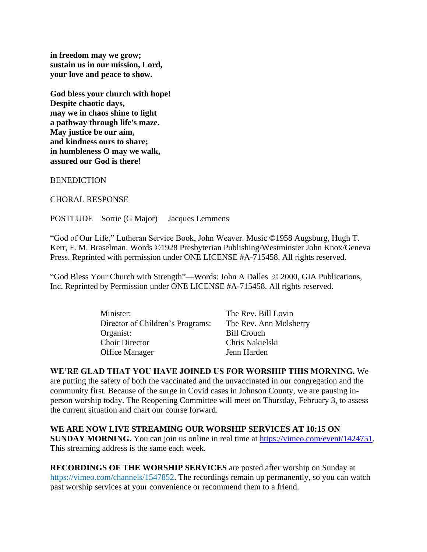**in freedom may we grow; sustain us in our mission, Lord, your love and peace to show.**

**God bless your church with hope! Despite chaotic days, may we in chaos shine to light a pathway through life's maze. May justice be our aim, and kindness ours to share; in humbleness O may we walk, assured our God is there!**

**BENEDICTION** 

CHORAL RESPONSE

POSTLUDE Sortie (G Major) Jacques Lemmens

"God of Our Life," Lutheran Service Book, John Weaver. Music ©1958 Augsburg, Hugh T. Kerr, F. M. Braselman. Words ©1928 Presbyterian Publishing/Westminster John Knox/Geneva Press. Reprinted with permission under ONE LICENSE #A-715458. All rights reserved.

"God Bless Your Church with Strength"—Words: John A Dalles © 2000, GIA Publications, Inc. Reprinted by Permission under ONE LICENSE #A-715458. All rights reserved.

| Minister:                        | The Rev. Bill Lovin    |
|----------------------------------|------------------------|
| Director of Children's Programs: | The Rev. Ann Molsberry |
| Organist:                        | <b>Bill Crouch</b>     |
| <b>Choir Director</b>            | Chris Nakielski        |
| <b>Office Manager</b>            | Jenn Harden            |

**WE'RE GLAD THAT YOU HAVE JOINED US FOR WORSHIP THIS MORNING.** We are putting the safety of both the vaccinated and the unvaccinated in our congregation and the community first. Because of the surge in Covid cases in Johnson County, we are pausing inperson worship today. The Reopening Committee will meet on Thursday, February 3, to assess the current situation and chart our course forward.

**WE ARE NOW LIVE STREAMING OUR WORSHIP SERVICES AT 10:15 ON SUNDAY MORNING.** You can join us online in real time at [https://vimeo.com/event/1424751.](https://vimeo.com/event/1424751) This streaming address is the same each week.

**RECORDINGS OF THE WORSHIP SERVICES** are posted after worship on Sunday at [https://vimeo.com/channels/1547852.](https://vimeo.com/channels/1547852) The recordings remain up permanently, so you can watch past worship services at your convenience or recommend them to a friend.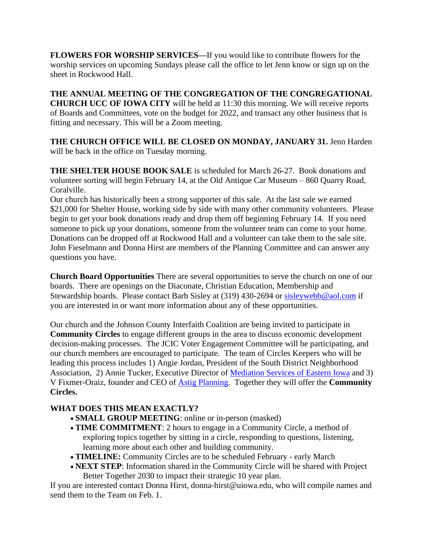**FLOWERS FOR WORSHIP SERVICES—**If you would like to contribute flowers for the worship services on upcoming Sundays please call the office to let Jenn know or sign up on the sheet in Rockwood Hall.

**THE ANNUAL MEETING OF THE CONGREGATION OF THE CONGREGATIONAL CHURCH UCC OF IOWA CITY** will be held at 11:30 this morning. We will receive reports of Boards and Committees, vote on the budget for 2022, and transact any other business that is fitting and necessary. This will be a Zoom meeting.

THE CHURCH OFFICE WILL BE CLOSED ON MONDAY, JANUARY 31. Jenn Harden will be back in the office on Tuesday morning.

**THE SHELTER HOUSE BOOK SALE** is scheduled for March 26-27. Book donations and volunteer sorting will begin February 14, at the Old Antique Car Museum – 860 Quarry Road, Coralville.

Our church has historically been a strong supporter of this sale. At the last sale we earned \$21,000 for Shelter House, working side by side with many other community volunteers. Please begin to get your book donations ready and drop them off beginning February 14. If you need someone to pick up your donations, someone from the volunteer team can come to your home. Donations can be dropped off at Rockwood Hall and a volunteer can take them to the sale site. John Fieselmann and Donna Hirst are members of the Planning Committee and can answer any questions you have.

**Church Board Opportunities** There are several opportunities to serve the church on one of our boards. There are openings on the Diaconate, Christian Education, Membership and Stewardship boards. Please contact Barb Sisley at (319) 430-2694 or [sisleywebb@aol.com](mailto:sisleywebb@aol.com) if you are interested in or want more information about any of these opportunities.

Our church and the Johnson County Interfaith Coalition are being invited to participate in **Community Circles** to engage different groups in the area to discuss economic development decision-making processes. The JCIC Voter Engagement Committee will be participating, and our church members are encouraged to participate. The team of Circles Keepers who will be leading this process includes 1) Angie Jordan, President of the South District Neighborhood Association, 2) Annie Tucker, Executive Director of [Mediation Services of Eastern Iowa](https://mediateiowa.org/) and 3) V Fixmer-Oraiz, founder and CEO of [Astig Planning.](https://www.astigplanning.com/) Together they will offer the **Community Circles.**

## **WHAT DOES THIS MEAN EXACTLY?**

- **SMALL GROUP MEETING**: online or in-person (masked)
- **TIME COMMITMENT**: 2 hours to engage in a Community Circle, a method of exploring topics together by sitting in a circle, responding to questions, listening, learning more about each other and building community.
- **TIMELINE:** Community Circles are to be scheduled February early March
- **NEXT STEP**: Information shared in the Community Circle will be shared with Project Better Together 2030 to impact their strategic 10 year plan.

If you are interested contact Donna Hirst, donna-hirst@uiowa.edu, who will compile names and send them to the Team on Feb. 1.